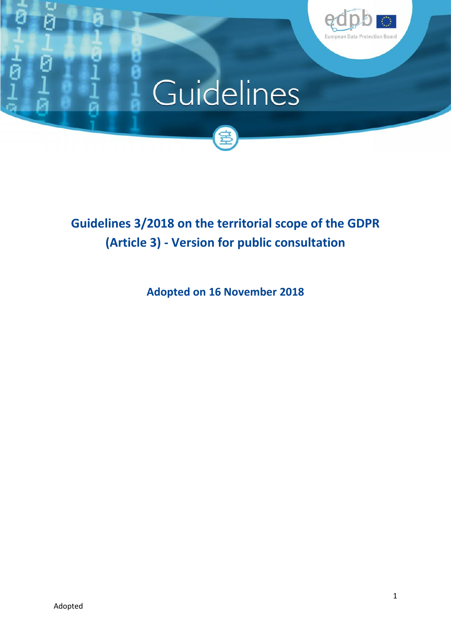

# Guidelines



**Guidelines 3/2018 on the territorial scope of the GDPR (Article 3) - Version for public consultation**

**Adopted on 16 November 2018**

U Ñ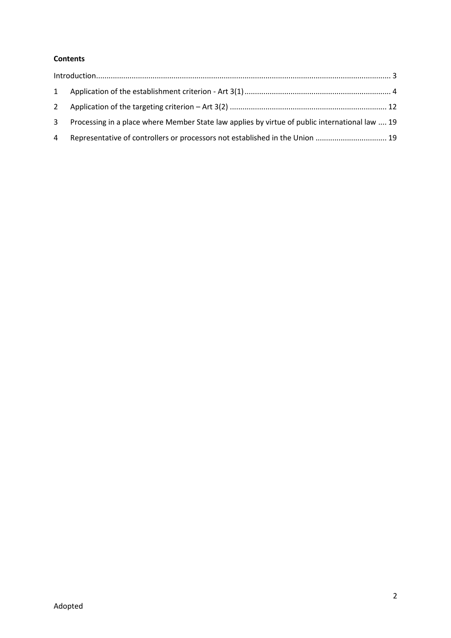#### **Contents**

|                | $\label{eq:interadd} \text{Introduction}\\ \text{and} \; \text{or} \; \text{if} \; \text{if} \; \text{if} \; \text{if} \; \text{if} \; \text{if} \; \text{if} \; \text{if} \; \text{if} \; \text{if} \; \text{if} \; \text{if} \; \text{if} \; \text{if} \; \text{if} \; \text{if} \; \text{if} \; \text{if} \; \text{if} \; \text{if} \; \text{if} \; \text{if} \; \text{if} \; \text{if} \; \text{if} \; \text{if} \; \text{if} \; \$ |  |
|----------------|-----------------------------------------------------------------------------------------------------------------------------------------------------------------------------------------------------------------------------------------------------------------------------------------------------------------------------------------------------------------------------------------------------------------------------------------|--|
|                |                                                                                                                                                                                                                                                                                                                                                                                                                                         |  |
|                |                                                                                                                                                                                                                                                                                                                                                                                                                                         |  |
| 3 <sup>1</sup> | Processing in a place where Member State law applies by virtue of public international law  19                                                                                                                                                                                                                                                                                                                                          |  |
| $\overline{4}$ | Representative of controllers or processors not established in the Union  19                                                                                                                                                                                                                                                                                                                                                            |  |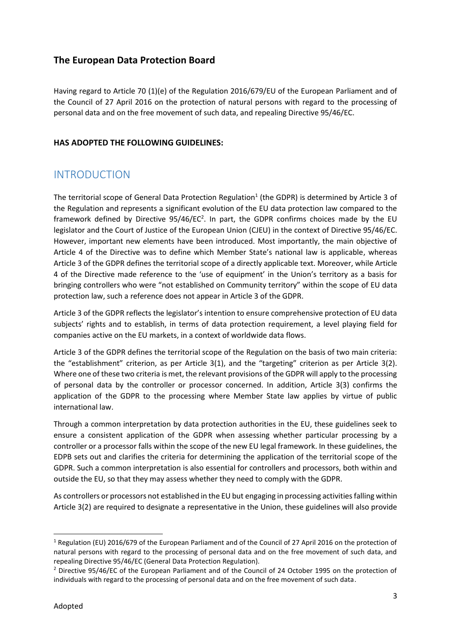#### **The European Data Protection Board**

Having regard to Article 70 (1)(e) of the Regulation 2016/679/EU of the European Parliament and of the Council of 27 April 2016 on the protection of natural persons with regard to the processing of personal data and on the free movement of such data, and repealing Directive 95/46/EC.

#### **HAS ADOPTED THE FOLLOWING GUIDELINES:**

### INTRODUCTION

The territorial scope of General Data Protection Regulation<sup>1</sup> (the GDPR) is determined by Article 3 of the Regulation and represents a significant evolution of the EU data protection law compared to the framework defined by Directive 95/46/EC<sup>2</sup>. In part, the GDPR confirms choices made by the EU legislator and the Court of Justice of the European Union (CJEU) in the context of Directive 95/46/EC. However, important new elements have been introduced. Most importantly, the main objective of Article 4 of the Directive was to define which Member State's national law is applicable, whereas Article 3 of the GDPR defines the territorial scope of a directly applicable text. Moreover, while Article 4 of the Directive made reference to the 'use of equipment' in the Union's territory as a basis for bringing controllers who were "not established on Community territory" within the scope of EU data protection law, such a reference does not appear in Article 3 of the GDPR.

Article 3 of the GDPR reflects the legislator's intention to ensure comprehensive protection of EU data subjects' rights and to establish, in terms of data protection requirement, a level playing field for companies active on the EU markets, in a context of worldwide data flows.

Article 3 of the GDPR defines the territorial scope of the Regulation on the basis of two main criteria: the "establishment" criterion, as per Article 3(1), and the "targeting" criterion as per Article 3(2). Where one of these two criteria is met, the relevant provisions of the GDPR will apply to the processing of personal data by the controller or processor concerned. In addition, Article 3(3) confirms the application of the GDPR to the processing where Member State law applies by virtue of public international law.

Through a common interpretation by data protection authorities in the EU, these guidelines seek to ensure a consistent application of the GDPR when assessing whether particular processing by a controller or a processor falls within the scope of the new EU legal framework. In these guidelines, the EDPB sets out and clarifies the criteria for determining the application of the territorial scope of the GDPR. Such a common interpretation is also essential for controllers and processors, both within and outside the EU, so that they may assess whether they need to comply with the GDPR.

As controllers or processors not established in the EU but engaging in processing activities falling within Article 3(2) are required to designate a representative in the Union, these guidelines will also provide

<sup>1</sup> Regulation (EU) 2016/679 of the European Parliament and of the Council of 27 April 2016 on the protection of natural persons with regard to the processing of personal data and on the free movement of such data, and repealing Directive 95/46/EC (General Data Protection Regulation).

<sup>&</sup>lt;sup>2</sup> Directive 95/46/EC of the European Parliament and of the Council of 24 October 1995 on the protection of individuals with regard to the processing of personal data and on the free movement of such data.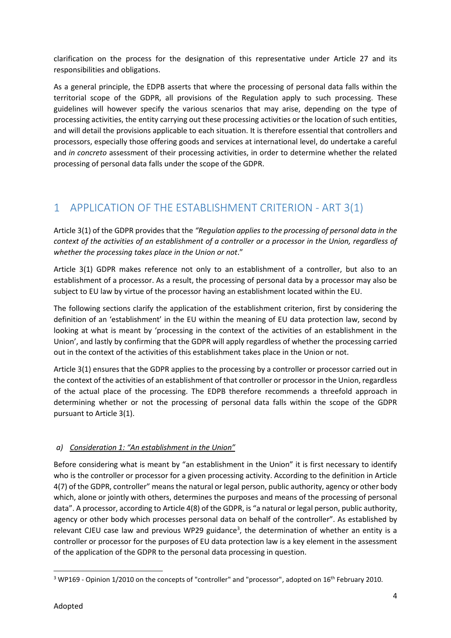clarification on the process for the designation of this representative under Article 27 and its responsibilities and obligations.

As a general principle, the EDPB asserts that where the processing of personal data falls within the territorial scope of the GDPR, all provisions of the Regulation apply to such processing. These guidelines will however specify the various scenarios that may arise, depending on the type of processing activities, the entity carrying out these processing activities or the location of such entities, and will detail the provisions applicable to each situation. It is therefore essential that controllers and processors, especially those offering goods and services at international level, do undertake a careful and *in concreto* assessment of their processing activities, in order to determine whether the related processing of personal data falls under the scope of the GDPR.

## 1 APPLICATION OF THE ESTABLISHMENT CRITERION - ART 3(1)

Article 3(1) of the GDPR provides that the *"Regulation applies to the processing of personal data in the context of the activities of an establishment of a controller or a processor in the Union, regardless of whether the processing takes place in the Union or not*."

Article 3(1) GDPR makes reference not only to an establishment of a controller, but also to an establishment of a processor. As a result, the processing of personal data by a processor may also be subject to EU law by virtue of the processor having an establishment located within the EU.

The following sections clarify the application of the establishment criterion, first by considering the definition of an 'establishment' in the EU within the meaning of EU data protection law, second by looking at what is meant by 'processing in the context of the activities of an establishment in the Union', and lastly by confirming that the GDPR will apply regardless of whether the processing carried out in the context of the activities of this establishment takes place in the Union or not.

Article 3(1) ensures that the GDPR applies to the processing by a controller or processor carried out in the context of the activities of an establishment of that controller or processor in the Union, regardless of the actual place of the processing. The EDPB therefore recommends a threefold approach in determining whether or not the processing of personal data falls within the scope of the GDPR pursuant to Article 3(1).

#### *a) Consideration 1: "An establishment in the Union"*

Before considering what is meant by "an establishment in the Union" it is first necessary to identify who is the controller or processor for a given processing activity. According to the definition in Article 4(7) of the GDPR, controller" means the natural or legal person, public authority, agency or other body which, alone or jointly with others, determines the purposes and means of the processing of personal data". A processor, according to Article 4(8) of the GDPR, is "a natural or legal person, public authority, agency or other body which processes personal data on behalf of the controller". As established by relevant CJEU case law and previous WP29 guidance<sup>3</sup>, the determination of whether an entity is a controller or processor for the purposes of EU data protection law is a key element in the assessment of the application of the GDPR to the personal data processing in question.

<sup>&</sup>lt;sup>3</sup> WP169 - Opinion 1/2010 on the concepts of "controller" and "processor", adopted on 16<sup>th</sup> February 2010.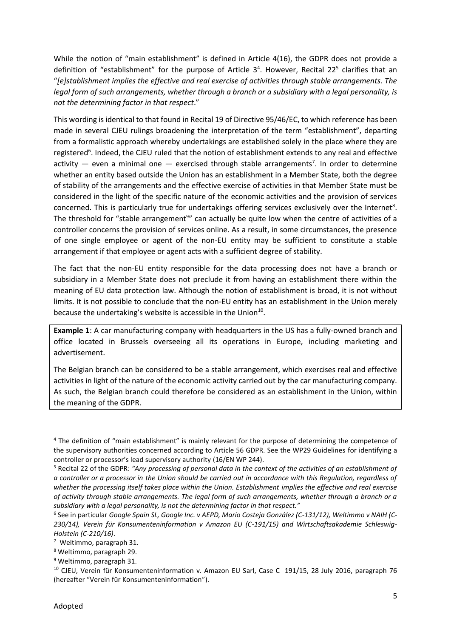While the notion of "main establishment" is defined in Article 4(16), the GDPR does not provide a definition of "establishment" for the purpose of Article 3<sup>4</sup>. However, Recital 22<sup>5</sup> clarifies that an "*[e]stablishment implies the effective and real exercise of activities through stable arrangements. The legal form of such arrangements, whether through a branch or a subsidiary with a legal personality, is not the determining factor in that respect*."

This wording is identical to that found in Recital 19 of Directive 95/46/EC, to which reference has been made in several CJEU rulings broadening the interpretation of the term "establishment", departing from a formalistic approach whereby undertakings are established solely in the place where they are registered<sup>6</sup>. Indeed, the CJEU ruled that the notion of establishment extends to any real and effective activity  $-$  even a minimal one  $-$  exercised through stable arrangements<sup>7</sup>. In order to determine whether an entity based outside the Union has an establishment in a Member State, both the degree of stability of the arrangements and the effective exercise of activities in that Member State must be considered in the light of the specific nature of the economic activities and the provision of services concerned. This is particularly true for undertakings offering services exclusively over the Internet<sup>8</sup>. The threshold for "stable arrangement<sup>9</sup>" can actually be quite low when the centre of activities of a controller concerns the provision of services online. As a result, in some circumstances, the presence of one single employee or agent of the non-EU entity may be sufficient to constitute a stable arrangement if that employee or agent acts with a sufficient degree of stability.

The fact that the non-EU entity responsible for the data processing does not have a branch or subsidiary in a Member State does not preclude it from having an establishment there within the meaning of EU data protection law. Although the notion of establishment is broad, it is not without limits. It is not possible to conclude that the non-EU entity has an establishment in the Union merely because the undertaking's website is accessible in the Union<sup>10</sup>.

**Example 1**: A car manufacturing company with headquarters in the US has a fully-owned branch and office located in Brussels overseeing all its operations in Europe, including marketing and advertisement.

The Belgian branch can be considered to be a stable arrangement, which exercises real and effective activities in light of the nature of the economic activity carried out by the car manufacturing company. As such, the Belgian branch could therefore be considered as an establishment in the Union, within the meaning of the GDPR.

<sup>&</sup>lt;sup>4</sup> The definition of "main establishment" is mainly relevant for the purpose of determining the competence of the supervisory authorities concerned according to Article 56 GDPR. See the WP29 Guidelines for identifying a controller or processor's lead supervisory authority (16/EN WP 244).

<sup>5</sup> Recital 22 of the GDPR: *"Any processing of personal data in the context of the activities of an establishment of a controller or a processor in the Union should be carried out in accordance with this Regulation, regardless of whether the processing itself takes place within the Union. Establishment implies the effective and real exercise of activity through stable arrangements. The legal form of such arrangements, whether through a branch or a subsidiary with a legal personality, is not the determining factor in that respect."*

<sup>6</sup> See in particular *Google Spain SL, Google Inc. v AEPD, Mario Costeja González (C-131/12), Weltimmo v NAIH (C- 230/14), Verein für Konsumenteninformation v Amazon EU (C-191/15) and Wirtschaftsakademie Schleswig- Holstein (C-210/16)*.

<sup>7</sup> Weltimmo, paragraph 31.

<sup>8</sup> Weltimmo, paragraph 29.

<sup>9</sup> Weltimmo, paragraph 31.

<sup>&</sup>lt;sup>10</sup> CJEU, Verein für Konsumenteninformation v. Amazon EU Sarl, Case C 191/15, 28 July 2016, paragraph 76 (hereafter "Verein für Konsumenteninformation").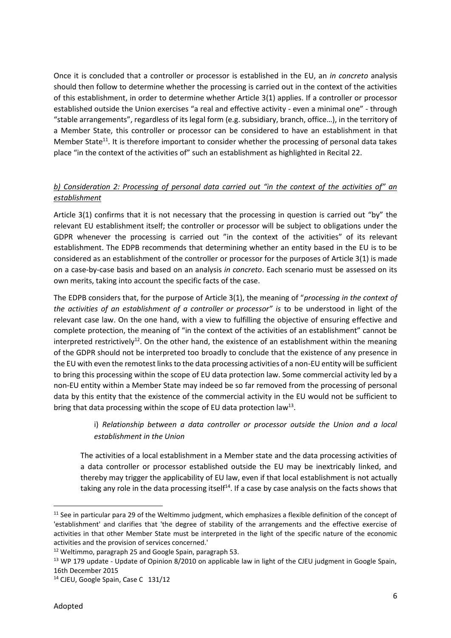Once it is concluded that a controller or processor is established in the EU, an *in concreto* analysis should then follow to determine whether the processing is carried out in the context of the activities of this establishment, in order to determine whether Article 3(1) applies. If a controller or processor established outside the Union exercises "a real and effective activity - even a minimal one" - through "stable arrangements", regardless of its legal form (e.g. subsidiary, branch, office…), in the territory of a Member State, this controller or processor can be considered to have an establishment in that Member State<sup>11</sup>. It is therefore important to consider whether the processing of personal data takes place "in the context of the activities of" such an establishment as highlighted in Recital 22.

#### *b) Consideration 2: Processing of personal data carried out "in the context of the activities of" an establishment*

Article 3(1) confirms that it is not necessary that the processing in question is carried out "by" the relevant EU establishment itself; the controller or processor will be subject to obligations under the GDPR whenever the processing is carried out "in the context of the activities" of its relevant establishment. The EDPB recommends that determining whether an entity based in the EU is to be considered as an establishment of the controller or processor for the purposes of Article 3(1) is made on a case-by-case basis and based on an analysis *in concreto*. Each scenario must be assessed on its own merits, taking into account the specific facts of the case.

The EDPB considers that, for the purpose of Article 3(1), the meaning of "*processing in the context of the activities of an establishment of a controller or processor" is* to be understood in light of the relevant case law. On the one hand, with a view to fulfilling the objective of ensuring effective and complete protection, the meaning of "in the context of the activities of an establishment" cannot be interpreted restrictively<sup>12</sup>. On the other hand, the existence of an establishment within the meaning of the GDPR should not be interpreted too broadly to conclude that the existence of any presence in the EU with even the remotest links to the data processing activities of a non-EU entity will be sufficient to bring this processing within the scope of EU data protection law. Some commercial activity led by a non-EU entity within a Member State may indeed be so far removed from the processing of personal data by this entity that the existence of the commercial activity in the EU would not be sufficient to bring that data processing within the scope of EU data protection law<sup>13</sup>.

#### i) *Relationship between a data controller or processor outside the Union and a local establishment in the Union*

The activities of a local establishment in a Member state and the data processing activities of a data controller or processor established outside the EU may be inextricably linked, and thereby may trigger the applicability of EU law, even if that local establishment is not actually taking any role in the data processing itself<sup>14</sup>. If a case by case analysis on the facts shows that

<sup>&</sup>lt;sup>11</sup> See in particular para 29 of the Weltimmo judgment, which emphasizes a flexible definition of the concept of 'establishment' and clarifies that 'the degree of stability of the arrangements and the effective exercise of activities in that other Member State must be interpreted in the light of the specific nature of the economic activities and the provision of services concerned.'

<sup>12</sup> Weltimmo, paragraph 25 and Google Spain, paragraph 53.

<sup>&</sup>lt;sup>13</sup> WP 179 update - Update of Opinion 8/2010 on applicable law in light of the CJEU judgment in Google Spain, 16th December 2015

<sup>&</sup>lt;sup>14</sup> CJEU, Google Spain, Case C 131/12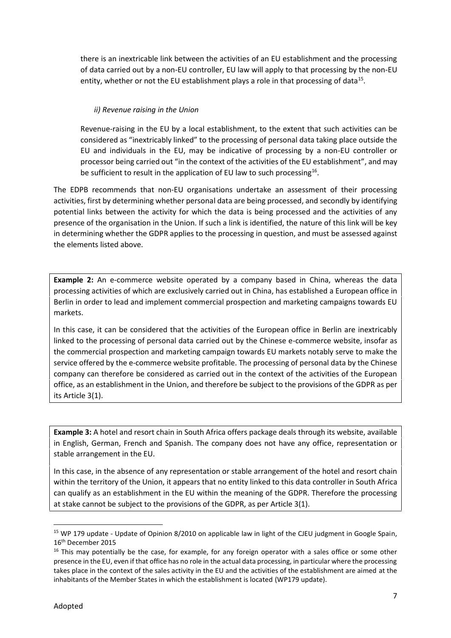there is an inextricable link between the activities of an EU establishment and the processing of data carried out by a non-EU controller, EU law will apply to that processing by the non-EU entity, whether or not the EU establishment plays a role in that processing of data<sup>15</sup>.

#### *ii) Revenue raising in the Union*

Revenue-raising in the EU by a local establishment, to the extent that such activities can be considered as "inextricably linked" to the processing of personal data taking place outside the EU and individuals in the EU, may be indicative of processing by a non-EU controller or processor being carried out "in the context of the activities of the EU establishment", and may be sufficient to result in the application of EU law to such processing<sup>16</sup>.

The EDPB recommends that non-EU organisations undertake an assessment of their processing activities, first by determining whether personal data are being processed, and secondly by identifying potential links between the activity for which the data is being processed and the activities of any presence of the organisation in the Union. If such a link is identified, the nature of this link will be key in determining whether the GDPR applies to the processing in question, and must be assessed against the elements listed above.

**Example 2:** An e-commerce website operated by a company based in China, whereas the data processing activities of which are exclusively carried out in China, has established a European office in Berlin in order to lead and implement commercial prospection and marketing campaigns towards EU markets.

In this case, it can be considered that the activities of the European office in Berlin are inextricably linked to the processing of personal data carried out by the Chinese e-commerce website, insofar as the commercial prospection and marketing campaign towards EU markets notably serve to make the service offered by the e-commerce website profitable. The processing of personal data by the Chinese company can therefore be considered as carried out in the context of the activities of the European office, as an establishment in the Union, and therefore be subject to the provisions of the GDPR as per its Article 3(1).

**Example 3:** A hotel and resort chain in South Africa offers package deals through its website, available in English, German, French and Spanish. The company does not have any office, representation or stable arrangement in the EU.

In this case, in the absence of any representation or stable arrangement of the hotel and resort chain within the territory of the Union, it appears that no entity linked to this data controller in South Africa can qualify as an establishment in the EU within the meaning of the GDPR. Therefore the processing at stake cannot be subject to the provisions of the GDPR, as per Article 3(1).

<sup>&</sup>lt;sup>15</sup> WP 179 update - Update of Opinion 8/2010 on applicable law in light of the CJEU judgment in Google Spain, 16th December 2015

<sup>&</sup>lt;sup>16</sup> This may potentially be the case, for example, for any foreign operator with a sales office or some other presence in the EU, even if that office has no role in the actual data processing, in particular where the processing takes place in the context of the sales activity in the EU and the activities of the establishment are aimed at the inhabitants of the Member States in which the establishment is located (WP179 update).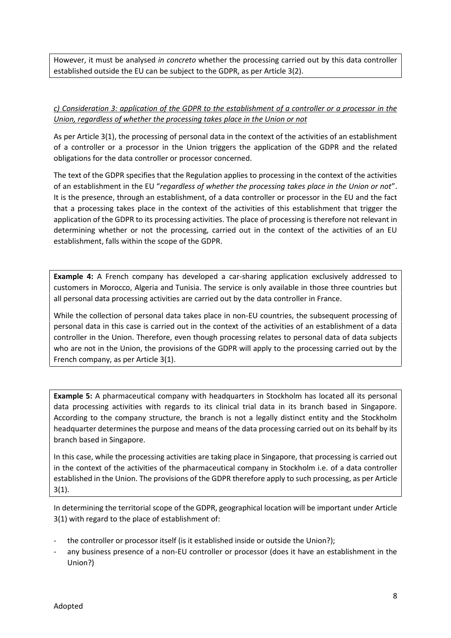However, it must be analysed *in concreto* whether the processing carried out by this data controller established outside the EU can be subject to the GDPR, as per Article 3(2).

#### *c) Consideration 3: application of the GDPR to the establishment of a controller or a processor in the Union, regardless of whether the processing takes place in the Union or not*

As per Article 3(1), the processing of personal data in the context of the activities of an establishment of a controller or a processor in the Union triggers the application of the GDPR and the related obligations for the data controller or processor concerned.

The text of the GDPR specifies that the Regulation applies to processing in the context of the activities of an establishment in the EU "*regardless of whether the processing takes place in the Union or not*". It is the presence, through an establishment, of a data controller or processor in the EU and the fact that a processing takes place in the context of the activities of this establishment that trigger the application of the GDPR to its processing activities. The place of processing is therefore not relevant in determining whether or not the processing, carried out in the context of the activities of an EU establishment, falls within the scope of the GDPR.

**Example 4:** A French company has developed a car-sharing application exclusively addressed to customers in Morocco, Algeria and Tunisia. The service is only available in those three countries but all personal data processing activities are carried out by the data controller in France.

While the collection of personal data takes place in non-EU countries, the subsequent processing of personal data in this case is carried out in the context of the activities of an establishment of a data controller in the Union. Therefore, even though processing relates to personal data of data subjects who are not in the Union, the provisions of the GDPR will apply to the processing carried out by the French company, as per Article 3(1).

**Example 5:** A pharmaceutical company with headquarters in Stockholm has located all its personal data processing activities with regards to its clinical trial data in its branch based in Singapore. According to the company structure, the branch is not a legally distinct entity and the Stockholm headquarter determines the purpose and means of the data processing carried out on its behalf by its branch based in Singapore.

In this case, while the processing activities are taking place in Singapore, that processing is carried out in the context of the activities of the pharmaceutical company in Stockholm i.e. of a data controller established in the Union. The provisions of the GDPR therefore apply to such processing, as per Article 3(1).

In determining the territorial scope of the GDPR, geographical location will be important under Article 3(1) with regard to the place of establishment of:

- the controller or processor itself (is it established inside or outside the Union?);
- any business presence of a non-EU controller or processor (does it have an establishment in the Union?)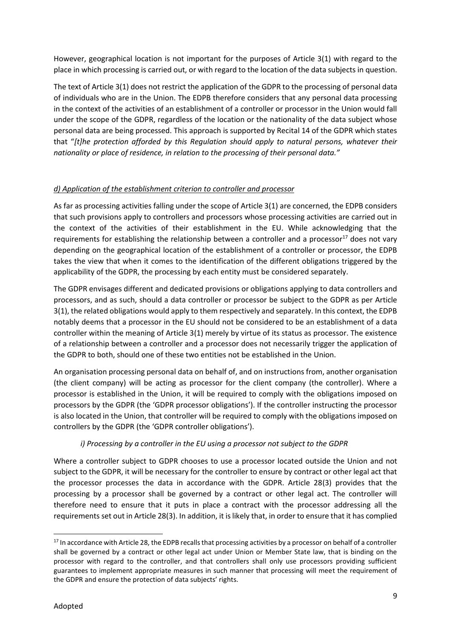However, geographical location is not important for the purposes of Article 3(1) with regard to the place in which processing is carried out, or with regard to the location of the data subjects in question.

The text of Article 3(1) does not restrict the application of the GDPR to the processing of personal data of individuals who are in the Union. The EDPB therefore considers that any personal data processing in the context of the activities of an establishment of a controller or processor in the Union would fall under the scope of the GDPR, regardless of the location or the nationality of the data subject whose personal data are being processed. This approach is supported by Recital 14 of the GDPR which states that "*[t]he protection afforded by this Regulation should apply to natural persons, whatever their nationality or place of residence, in relation to the processing of their personal data."*

#### *d) Application of the establishment criterion to controller and processor*

As far as processing activities falling under the scope of Article 3(1) are concerned, the EDPB considers that such provisions apply to controllers and processors whose processing activities are carried out in the context of the activities of their establishment in the EU. While acknowledging that the requirements for establishing the relationship between a controller and a processor $17$  does not vary depending on the geographical location of the establishment of a controller or processor, the EDPB takes the view that when it comes to the identification of the different obligations triggered by the applicability of the GDPR, the processing by each entity must be considered separately.

The GDPR envisages different and dedicated provisions or obligations applying to data controllers and processors, and as such, should a data controller or processor be subject to the GDPR as per Article 3(1), the related obligations would apply to them respectively and separately. In this context, the EDPB notably deems that a processor in the EU should not be considered to be an establishment of a data controller within the meaning of Article 3(1) merely by virtue of its status as processor. The existence of a relationship between a controller and a processor does not necessarily trigger the application of the GDPR to both, should one of these two entities not be established in the Union.

An organisation processing personal data on behalf of, and on instructions from, another organisation (the client company) will be acting as processor for the client company (the controller). Where a processor is established in the Union, it will be required to comply with the obligations imposed on processors by the GDPR (the 'GDPR processor obligations'). If the controller instructing the processor is also located in the Union, that controller will be required to comply with the obligations imposed on controllers by the GDPR (the 'GDPR controller obligations').

#### *i) Processing by a controller in the EU using a processor not subject to the GDPR*

Where a controller subject to GDPR chooses to use a processor located outside the Union and not subject to the GDPR, it will be necessary for the controller to ensure by contract or other legal act that the processor processes the data in accordance with the GDPR. Article 28(3) provides that the processing by a processor shall be governed by a contract or other legal act. The controller will therefore need to ensure that it puts in place a contract with the processor addressing all the requirements set out in Article 28(3). In addition, it is likely that, in order to ensure that it has complied

<sup>&</sup>lt;sup>17</sup> In accordance with Article 28, the EDPB recalls that processing activities by a processor on behalf of a controller shall be governed by a contract or other legal act under Union or Member State law, that is binding on the processor with regard to the controller, and that controllers shall only use processors providing sufficient guarantees to implement appropriate measures in such manner that processing will meet the requirement of the GDPR and ensure the protection of data subjects' rights.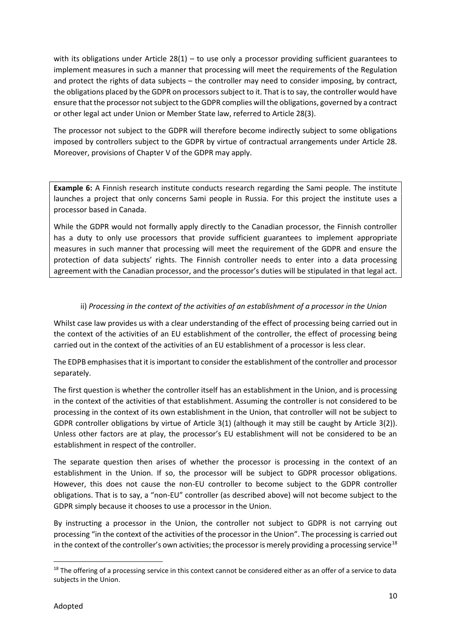with its obligations under Article  $28(1)$  – to use only a processor providing sufficient guarantees to implement measures in such a manner that processing will meet the requirements of the Regulation and protect the rights of data subjects – the controller may need to consider imposing, by contract, the obligations placed by the GDPR on processors subject to it. That is to say, the controller would have ensure that the processor not subject to the GDPR complies will the obligations, governed by a contract or other legal act under Union or Member State law, referred to Article 28(3).

The processor not subject to the GDPR will therefore become indirectly subject to some obligations imposed by controllers subject to the GDPR by virtue of contractual arrangements under Article 28. Moreover, provisions of Chapter V of the GDPR may apply.

**Example 6:** A Finnish research institute conducts research regarding the Sami people. The institute launches a project that only concerns Sami people in Russia. For this project the institute uses a processor based in Canada.

While the GDPR would not formally apply directly to the Canadian processor, the Finnish controller has a duty to only use processors that provide sufficient guarantees to implement appropriate measures in such manner that processing will meet the requirement of the GDPR and ensure the protection of data subjects' rights. The Finnish controller needs to enter into a data processing agreement with the Canadian processor, and the processor's duties will be stipulated in that legal act.

#### ii) *Processing in the context of the activities of an establishment of a processor in the Union*

Whilst case law provides us with a clear understanding of the effect of processing being carried out in the context of the activities of an EU establishment of the controller, the effect of processing being carried out in the context of the activities of an EU establishment of a processor is less clear.

The EDPB emphasises that it is important to consider the establishment of the controller and processor separately.

The first question is whether the controller itself has an establishment in the Union, and is processing in the context of the activities of that establishment. Assuming the controller is not considered to be processing in the context of its own establishment in the Union, that controller will not be subject to GDPR controller obligations by virtue of Article 3(1) (although it may still be caught by Article 3(2)). Unless other factors are at play, the processor's EU establishment will not be considered to be an establishment in respect of the controller.

The separate question then arises of whether the processor is processing in the context of an establishment in the Union. If so, the processor will be subject to GDPR processor obligations. However, this does not cause the non-EU controller to become subject to the GDPR controller obligations. That is to say, a "non-EU" controller (as described above) will not become subject to the GDPR simply because it chooses to use a processor in the Union.

By instructing a processor in the Union, the controller not subject to GDPR is not carrying out processing "in the context of the activities of the processor in the Union". The processing is carried out in the context of the controller's own activities; the processor is merely providing a processing service<sup>18</sup>

<sup>&</sup>lt;sup>18</sup> The offering of a processing service in this context cannot be considered either as an offer of a service to data subjects in the Union.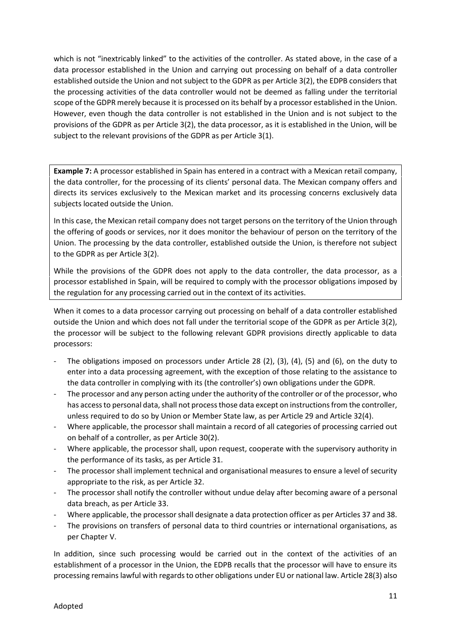which is not "inextricably linked" to the activities of the controller. As stated above, in the case of a data processor established in the Union and carrying out processing on behalf of a data controller established outside the Union and not subject to the GDPR as per Article 3(2), the EDPB considers that the processing activities of the data controller would not be deemed as falling under the territorial scope of the GDPR merely because it is processed on its behalf by a processor established in the Union. However, even though the data controller is not established in the Union and is not subject to the provisions of the GDPR as per Article 3(2), the data processor, as it is established in the Union, will be subject to the relevant provisions of the GDPR as per Article 3(1).

**Example 7:** A processor established in Spain has entered in a contract with a Mexican retail company, the data controller, for the processing of its clients' personal data. The Mexican company offers and directs its services exclusively to the Mexican market and its processing concerns exclusively data subjects located outside the Union.

In this case, the Mexican retail company does not target persons on the territory of the Union through the offering of goods or services, nor it does monitor the behaviour of person on the territory of the Union. The processing by the data controller, established outside the Union, is therefore not subject to the GDPR as per Article 3(2).

While the provisions of the GDPR does not apply to the data controller, the data processor, as a processor established in Spain, will be required to comply with the processor obligations imposed by the regulation for any processing carried out in the context of its activities.

When it comes to a data processor carrying out processing on behalf of a data controller established outside the Union and which does not fall under the territorial scope of the GDPR as per Article 3(2), the processor will be subject to the following relevant GDPR provisions directly applicable to data processors:

- The obligations imposed on processors under Article 28 (2), (3), (4), (5) and (6), on the duty to enter into a data processing agreement, with the exception of those relating to the assistance to the data controller in complying with its (the controller's) own obligations under the GDPR.
- The processor and any person acting under the authority of the controller or of the processor, who has access to personal data, shall not process those data except on instructions from the controller, unless required to do so by Union or Member State law, as per Article 29 and Article 32(4).
- Where applicable, the processor shall maintain a record of all categories of processing carried out on behalf of a controller, as per Article 30(2).
- Where applicable, the processor shall, upon request, cooperate with the supervisory authority in the performance of its tasks, as per Article 31.
- The processor shall implement technical and organisational measures to ensure a level of security appropriate to the risk, as per Article 32.
- The processor shall notify the controller without undue delay after becoming aware of a personal data breach, as per Article 33.
- Where applicable, the processor shall designate a data protection officer as per Articles 37 and 38.
- The provisions on transfers of personal data to third countries or international organisations, as per Chapter V.

In addition, since such processing would be carried out in the context of the activities of an establishment of a processor in the Union, the EDPB recalls that the processor will have to ensure its processing remains lawful with regards to other obligations under EU or national law. Article 28(3) also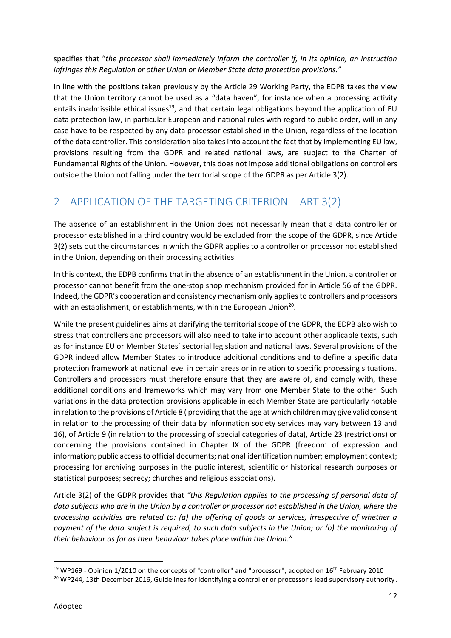specifies that "*the processor shall immediately inform the controller if, in its opinion, an instruction infringes this Regulation or other Union or Member State data protection provisions.*"

In line with the positions taken previously by the Article 29 Working Party, the EDPB takes the view that the Union territory cannot be used as a "data haven", for instance when a processing activity entails inadmissible ethical issues<sup>19</sup>, and that certain legal obligations beyond the application of EU data protection law, in particular European and national rules with regard to public order, will in any case have to be respected by any data processor established in the Union, regardless of the location of the data controller. This consideration also takes into account the fact that by implementing EU law, provisions resulting from the GDPR and related national laws, are subject to the Charter of Fundamental Rights of the Union. However, this does not impose additional obligations on controllers outside the Union not falling under the territorial scope of the GDPR as per Article 3(2).

## 2 APPLICATION OF THE TARGETING CRITERION – ART 3(2)

The absence of an establishment in the Union does not necessarily mean that a data controller or processor established in a third country would be excluded from the scope of the GDPR, since Article 3(2) sets out the circumstances in which the GDPR applies to a controller or processor not established in the Union, depending on their processing activities.

In this context, the EDPB confirms that in the absence of an establishment in the Union, a controller or processor cannot benefit from the one-stop shop mechanism provided for in Article 56 of the GDPR. Indeed, the GDPR's cooperation and consistency mechanism only applies to controllers and processors with an establishment, or establishments, within the European Union<sup>20</sup>.

While the present guidelines aims at clarifying the territorial scope of the GDPR, the EDPB also wish to stress that controllers and processors will also need to take into account other applicable texts, such as for instance EU or Member States' sectorial legislation and national laws. Several provisions of the GDPR indeed allow Member States to introduce additional conditions and to define a specific data protection framework at national level in certain areas or in relation to specific processing situations. Controllers and processors must therefore ensure that they are aware of, and comply with, these additional conditions and frameworks which may vary from one Member State to the other. Such variations in the data protection provisions applicable in each Member State are particularly notable in relation to the provisions of Article 8 ( providing that the age at which children may give valid consent in relation to the processing of their data by information society services may vary between 13 and 16), of Article 9 (in relation to the processing of special categories of data), Article 23 (restrictions) or concerning the provisions contained in Chapter IX of the GDPR (freedom of expression and information; public access to official documents; national identification number; employment context; processing for archiving purposes in the public interest, scientific or historical research purposes or statistical purposes; secrecy; churches and religious associations).

Article 3(2) of the GDPR provides that *"this Regulation applies to the processing of personal data of data subjects who are in the Union by a controller or processor not established in the Union, where the processing activities are related to: (a) the offering of goods or services, irrespective of whether a payment of the data subject is required, to such data subjects in the Union; or (b) the monitoring of their behaviour as far as their behaviour takes place within the Union."*

<sup>&</sup>lt;sup>19</sup> WP169 - Opinion 1/2010 on the concepts of "controller" and "processor", adopted on  $16$ <sup>th</sup> February 2010

<sup>&</sup>lt;sup>20</sup> WP244, 13th December 2016, Guidelines for identifying a controller or processor's lead supervisory authority.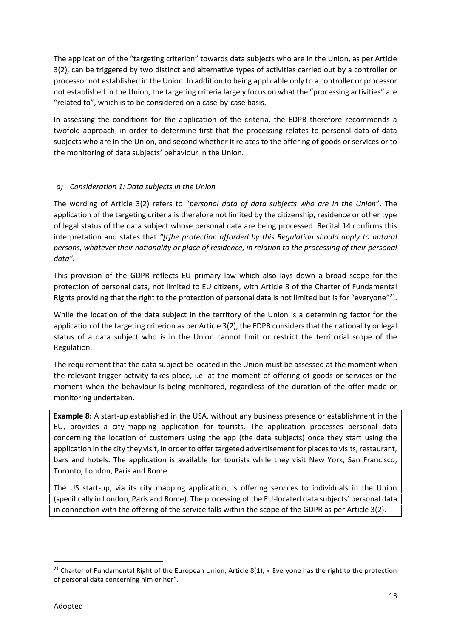The application of the "targeting criterion" towards data subjects who are in the Union, as per Article 3(2), can be triggered by two distinct and alternative types of activities carried out by a controller or processor not established in the Union. In addition to being applicable only to a controller or processor not established in the Union, the targeting criteria largely focus on what the "processing activities" are "related to", which is to be considered on a case-by-case basis.

In assessing the conditions for the application of the criteria, the EDPB therefore recommends a twofold approach, in order to determine first that the processing relates to personal data of data subjects who are in the Union, and second whether it relates to the offering of goods or services or to the monitoring of data subjects' behaviour in the Union.

#### *a) Consideration 1: Data subjects in the Union*

The wording of Article 3(2) refers to "*personal data of data subjects who are in the Union*". The application of the targeting criteria is therefore not limited by the citizenship, residence or other type of legal status of the data subject whose personal data are being processed. Recital 14 confirms this interpretation and states that *"[t]he protection afforded by this Regulation should apply to natural persons, whatever their nationality or place of residence, in relation to the processing of their personal data".*

This provision of the GDPR reflects EU primary law which also lays down a broad scope for the protection of personal data, not limited to EU citizens, with Article 8 of the Charter of Fundamental Rights providing that the right to the protection of personal data is not limited but is for "everyone"<sup>21</sup>.

While the location of the data subject in the territory of the Union is a determining factor for the application of the targeting criterion as per Article 3(2), the EDPB considers that the nationality or legal status of a data subject who is in the Union cannot limit or restrict the territorial scope of the Regulation.

The requirement that the data subject be located in the Union must be assessed at the moment when the relevant trigger activity takes place, i.e. at the moment of offering of goods or services or the moment when the behaviour is being monitored, regardless of the duration of the offer made or monitoring undertaken.

**Example 8:** A start-up established in the USA, without any business presence or establishment in the EU, provides a city-mapping application for tourists. The application processes personal data concerning the location of customers using the app (the data subjects) once they start using the application in the city they visit, in order to offer targeted advertisement for places to visits, restaurant, bars and hotels. The application is available for tourists while they visit New York, San Francisco, Toronto, London, Paris and Rome.

The US start-up, via its city mapping application, is offering services to individuals in the Union (specifically in London, Paris and Rome). The processing of the EU-located data subjects' personal data in connection with the offering of the service falls within the scope of the GDPR as per Article 3(2).

<sup>&</sup>lt;sup>21</sup> Charter of Fundamental Right of the European Union, Article 8(1), « Everyone has the right to the protection of personal data concerning him or her".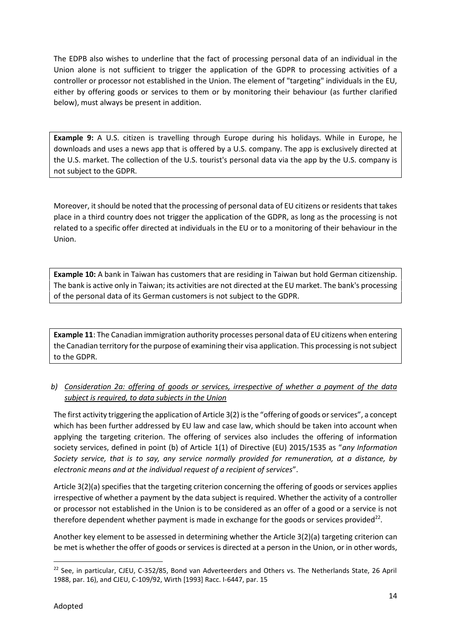The EDPB also wishes to underline that the fact of processing personal data of an individual in the Union alone is not sufficient to trigger the application of the GDPR to processing activities of a controller or processor not established in the Union. The element of "targeting" individuals in the EU, either by offering goods or services to them or by monitoring their behaviour (as further clarified below), must always be present in addition.

**Example 9:** A U.S. citizen is travelling through Europe during his holidays. While in Europe, he downloads and uses a news app that is offered by a U.S. company. The app is exclusively directed at the U.S. market. The collection of the U.S. tourist's personal data via the app by the U.S. company is not subject to the GDPR.

Moreover, it should be noted that the processing of personal data of EU citizens or residents that takes place in a third country does not trigger the application of the GDPR, as long as the processing is not related to a specific offer directed at individuals in the EU or to a monitoring of their behaviour in the Union.

**Example 10:** A bank in Taiwan has customers that are residing in Taiwan but hold German citizenship. The bank is active only in Taiwan; its activities are not directed at the EU market. The bank's processing of the personal data of its German customers is not subject to the GDPR.

**Example 11**: The Canadian immigration authority processes personal data of EU citizens when entering the Canadian territory for the purpose of examining their visa application. This processing is not subject to the GDPR.

#### *b) Consideration 2a: offering of goods or services, irrespective of whether a payment of the data subject is required, to data subjects in the Union*

The first activity triggering the application of Article 3(2) is the "offering of goods or services", a concept which has been further addressed by EU law and case law, which should be taken into account when applying the targeting criterion. The offering of services also includes the offering of information society services, defined in point (b) of Article 1(1) of Directive (EU) 2015/1535 as "*any Information Society service, that is to say, any service normally provided for remuneration, at a distance, by electronic means and at the individual request of a recipient of services*".

Article 3(2)(a) specifies that the targeting criterion concerning the offering of goods or services applies irrespective of whether a payment by the data subject is required. Whether the activity of a controller or processor not established in the Union is to be considered as an offer of a good or a service is not therefore dependent whether payment is made in exchange for the goods or services provided<sup>22</sup>.

Another key element to be assessed in determining whether the Article 3(2)(a) targeting criterion can be met is whether the offer of goods or services is directed at a person in the Union, or in other words,

<sup>&</sup>lt;sup>22</sup> See, in particular, CJEU, C-352/85, Bond van Adverteerders and Others vs. The Netherlands State, 26 April 1988, par. 16), and CJEU, C-109/92, Wirth [1993] Racc. I-6447, par. 15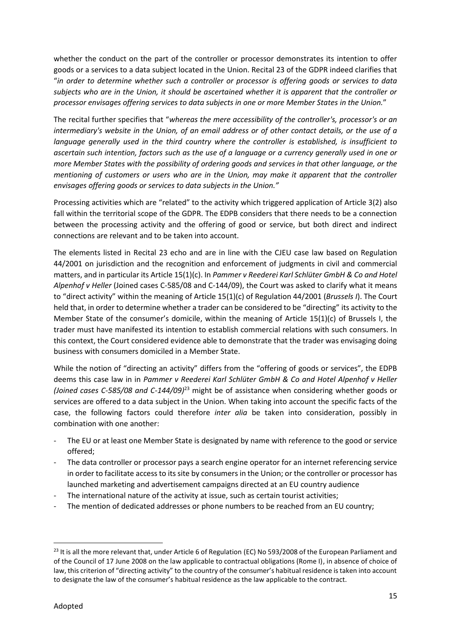whether the conduct on the part of the controller or processor demonstrates its intention to offer goods or a services to a data subject located in the Union. Recital 23 of the GDPR indeed clarifies that "*in order to determine whether such a controller or processor is offering goods or services to data subjects who are in the Union, it should be ascertained whether it is apparent that the controller or processor envisages offering services to data subjects in one or more Member States in the Union.*"

The recital further specifies that "*whereas the mere accessibility of the controller's, processor's or an intermediary's website in the Union, of an email address or of other contact details, or the use of a language generally used in the third country where the controller is established, is insufficient to ascertain such intention, factors such as the use of a language or a currency generally used in one or more Member States with the possibility of ordering goods and services in that other language, or the mentioning of customers or users who are in the Union, may make it apparent that the controller envisages offering goods or services to data subjects in the Union."*

Processing activities which are "related" to the activity which triggered application of Article 3(2) also fall within the territorial scope of the GDPR. The EDPB considers that there needs to be a connection between the processing activity and the offering of good or service, but both direct and indirect connections are relevant and to be taken into account.

The elements listed in Recital 23 echo and are in line with the CJEU case law based on Regulation 44/2001 on jurisdiction and the recognition and enforcement of judgments in civil and commercial matters, and in particular its Article 15(1)(c). In *Pammer v Reederei Karl Schlüter GmbH & Co and Hotel Alpenhof v Heller* (Joined cases C-585/08 and C-144/09), the Court was asked to clarify what it means to "direct activity" within the meaning of Article 15(1)(c) of Regulation 44/2001 (*Brussels I*). The Court held that, in order to determine whether a trader can be considered to be "directing" its activity to the Member State of the consumer's domicile, within the meaning of Article 15(1)(c) of Brussels I, the trader must have manifested its intention to establish commercial relations with such consumers. In this context, the Court considered evidence able to demonstrate that the trader was envisaging doing business with consumers domiciled in a Member State.

While the notion of "directing an activity" differs from the "offering of goods or services", the EDPB deems this case law in in *Pammer v Reederei Karl Schlüter GmbH & Co and Hotel Alpenhof v Heller (Joined cases C-585/08 and C-144/09)*<sup>23</sup> might be of assistance when considering whether goods or services are offered to a data subject in the Union. When taking into account the specific facts of the case, the following factors could therefore *inter alia* be taken into consideration, possibly in combination with one another:

- The EU or at least one Member State is designated by name with reference to the good or service offered;
- The data controller or processor pays a search engine operator for an internet referencing service in order to facilitate access to its site by consumers in the Union; or the controller or processor has launched marketing and advertisement campaigns directed at an EU country audience
- The international nature of the activity at issue, such as certain tourist activities;
- The mention of dedicated addresses or phone numbers to be reached from an EU country;

<sup>&</sup>lt;sup>23</sup> It is all the more relevant that, under Article 6 of Regulation (EC) No 593/2008 of the European Parliament and of the Council of 17 June 2008 on the law applicable to contractual obligations (Rome I), in absence of choice of law, this criterion of "directing activity" to the country of the consumer's habitual residence is taken into account to designate the law of the consumer's habitual residence as the law applicable to the contract.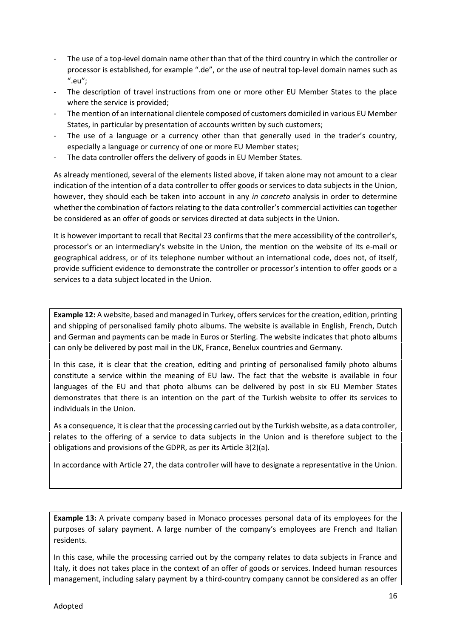- The use of a top-level domain name other than that of the third country in which the controller or processor is established, for example ".de", or the use of neutral top-level domain names such as ".eu";
- The description of travel instructions from one or more other EU Member States to the place where the service is provided;
- The mention of an international clientele composed of customers domiciled in various EU Member States, in particular by presentation of accounts written by such customers;
- The use of a language or a currency other than that generally used in the trader's country, especially a language or currency of one or more EU Member states;
- The data controller offers the delivery of goods in EU Member States.

As already mentioned, several of the elements listed above, if taken alone may not amount to a clear indication of the intention of a data controller to offer goods or services to data subjects in the Union, however, they should each be taken into account in any *in concreto* analysis in order to determine whether the combination of factors relating to the data controller's commercial activities can together be considered as an offer of goods or services directed at data subjects in the Union.

It is however important to recall that Recital 23 confirms that the mere accessibility of the controller's, processor's or an intermediary's website in the Union, the mention on the website of its e-mail or geographical address, or of its telephone number without an international code, does not, of itself, provide sufficient evidence to demonstrate the controller or processor's intention to offer goods or a services to a data subject located in the Union.

**Example 12:** A website, based and managed in Turkey, offers services for the creation, edition, printing and shipping of personalised family photo albums. The website is available in English, French, Dutch and German and payments can be made in Euros or Sterling. The website indicates that photo albums can only be delivered by post mail in the UK, France, Benelux countries and Germany.

In this case, it is clear that the creation, editing and printing of personalised family photo albums constitute a service within the meaning of EU law. The fact that the website is available in four languages of the EU and that photo albums can be delivered by post in six EU Member States demonstrates that there is an intention on the part of the Turkish website to offer its services to individuals in the Union.

As a consequence, it is clear that the processing carried out by the Turkish website, as a data controller, relates to the offering of a service to data subjects in the Union and is therefore subject to the obligations and provisions of the GDPR, as per its Article 3(2)(a).

In accordance with Article 27, the data controller will have to designate a representative in the Union.

**Example 13:** A private company based in Monaco processes personal data of its employees for the purposes of salary payment. A large number of the company's employees are French and Italian residents.

In this case, while the processing carried out by the company relates to data subjects in France and Italy, it does not takes place in the context of an offer of goods or services. Indeed human resources management, including salary payment by a third-country company cannot be considered as an offer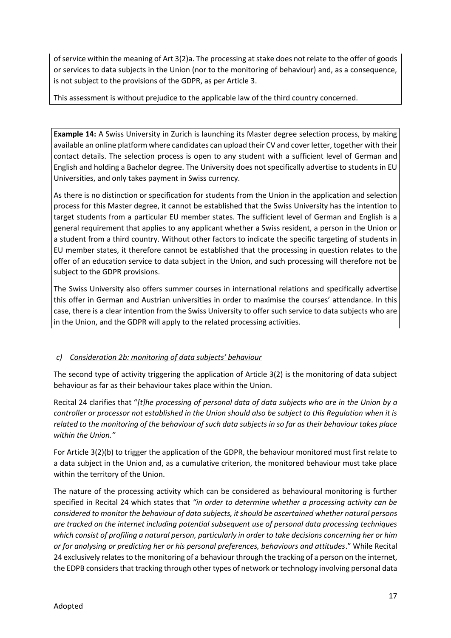of service within the meaning of Art 3(2)a. The processing at stake does not relate to the offer of goods or services to data subjects in the Union (nor to the monitoring of behaviour) and, as a consequence, is not subject to the provisions of the GDPR, as per Article 3.

This assessment is without prejudice to the applicable law of the third country concerned.

**Example 14:** A Swiss University in Zurich is launching its Master degree selection process, by making available an online platform where candidates can upload their CV and cover letter, together with their contact details. The selection process is open to any student with a sufficient level of German and English and holding a Bachelor degree. The University does not specifically advertise to students in EU Universities, and only takes payment in Swiss currency.

As there is no distinction or specification for students from the Union in the application and selection process for this Master degree, it cannot be established that the Swiss University has the intention to target students from a particular EU member states. The sufficient level of German and English is a general requirement that applies to any applicant whether a Swiss resident, a person in the Union or a student from a third country. Without other factors to indicate the specific targeting of students in EU member states, it therefore cannot be established that the processing in question relates to the offer of an education service to data subject in the Union, and such processing will therefore not be subject to the GDPR provisions.

The Swiss University also offers summer courses in international relations and specifically advertise this offer in German and Austrian universities in order to maximise the courses' attendance. In this case, there is a clear intention from the Swiss University to offer such service to data subjects who are in the Union, and the GDPR will apply to the related processing activities.

#### *c) Consideration 2b: monitoring of data subjects' behaviour*

The second type of activity triggering the application of Article 3(2) is the monitoring of data subject behaviour as far as their behaviour takes place within the Union.

Recital 24 clarifies that "*[t]he processing of personal data of data subjects who are in the Union by a controller or processor not established in the Union should also be subject to this Regulation when it is related to the monitoring of the behaviour of such data subjects in so far as their behaviour takes place within the Union."*

For Article 3(2)(b) to trigger the application of the GDPR, the behaviour monitored must first relate to a data subject in the Union and, as a cumulative criterion, the monitored behaviour must take place within the territory of the Union.

The nature of the processing activity which can be considered as behavioural monitoring is further specified in Recital 24 which states that *"in order to determine whether a processing activity can be considered to monitor the behaviour of data subjects, it should be ascertained whether natural persons are tracked on the internet including potential subsequent use of personal data processing techniques which consist of profiling a natural person, particularly in order to take decisions concerning her or him or for analysing or predicting her or his personal preferences, behaviours and attitudes*." While Recital 24 exclusively relates to the monitoring of a behaviour through the tracking of a person on the internet, the EDPB considers that tracking through other types of network or technology involving personal data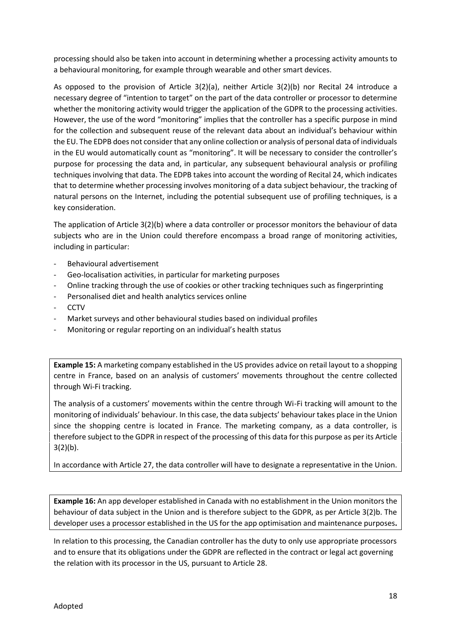processing should also be taken into account in determining whether a processing activity amounts to a behavioural monitoring, for example through wearable and other smart devices.

As opposed to the provision of Article 3(2)(a), neither Article 3(2)(b) nor Recital 24 introduce a necessary degree of "intention to target" on the part of the data controller or processor to determine whether the monitoring activity would trigger the application of the GDPR to the processing activities. However, the use of the word "monitoring" implies that the controller has a specific purpose in mind for the collection and subsequent reuse of the relevant data about an individual's behaviour within the EU. The EDPB does not consider that any online collection or analysis of personal data of individuals in the EU would automatically count as "monitoring". It will be necessary to consider the controller's purpose for processing the data and, in particular, any subsequent behavioural analysis or profiling techniques involving that data. The EDPB takes into account the wording of Recital 24, which indicates that to determine whether processing involves monitoring of a data subject behaviour, the tracking of natural persons on the Internet, including the potential subsequent use of profiling techniques, is a key consideration.

The application of Article 3(2)(b) where a data controller or processor monitors the behaviour of data subjects who are in the Union could therefore encompass a broad range of monitoring activities, including in particular:

- Behavioural advertisement
- Geo-localisation activities, in particular for marketing purposes
- Online tracking through the use of cookies or other tracking techniques such as fingerprinting
- Personalised diet and health analytics services online
- CCTV
- Market surveys and other behavioural studies based on individual profiles
- Monitoring or regular reporting on an individual's health status

**Example 15:** A marketing company established in the US provides advice on retail layout to a shopping centre in France, based on an analysis of customers' movements throughout the centre collected through Wi-Fi tracking.

The analysis of a customers' movements within the centre through Wi-Fi tracking will amount to the monitoring of individuals' behaviour. In this case, the data subjects' behaviour takes place in the Union since the shopping centre is located in France. The marketing company, as a data controller, is therefore subject to the GDPR in respect of the processing of this data for this purpose as per its Article  $3(2)(b)$ .

In accordance with Article 27, the data controller will have to designate a representative in the Union.

**Example 16:** An app developer established in Canada with no establishment in the Union monitors the behaviour of data subject in the Union and is therefore subject to the GDPR, as per Article 3(2)b. The developer uses a processor established in the US for the app optimisation and maintenance purposes**.**

In relation to this processing, the Canadian controller has the duty to only use appropriate processors and to ensure that its obligations under the GDPR are reflected in the contract or legal act governing the relation with its processor in the US, pursuant to Article 28.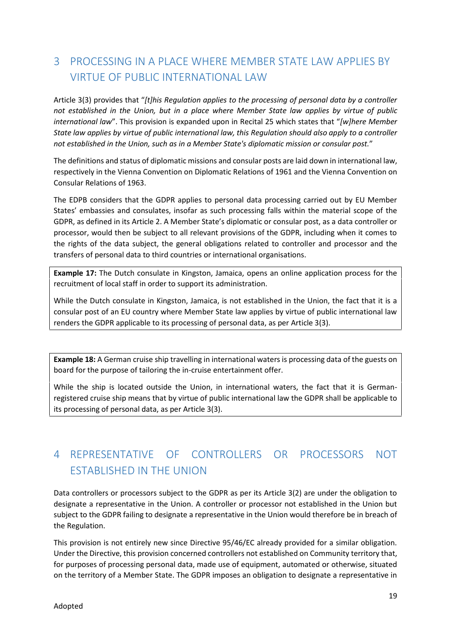# 3 PROCESSING IN A PLACE WHERE MEMBER STATE LAW APPLIES BY VIRTUE OF PUBLIC INTERNATIONAL LAW

Article 3(3) provides that "*[t]his Regulation applies to the processing of personal data by a controller not established in the Union, but in a place where Member State law applies by virtue of public international law*". This provision is expanded upon in Recital 25 which states that "*[w]here Member State law applies by virtue of public international law, this Regulation should also apply to a controller not established in the Union, such as in a Member State's diplomatic mission or consular post.*"

The definitions and status of diplomatic missions and consular posts are laid down in international law, respectively in the Vienna Convention on Diplomatic Relations of 1961 and the Vienna Convention on Consular Relations of 1963.

The EDPB considers that the GDPR applies to personal data processing carried out by EU Member States' embassies and consulates, insofar as such processing falls within the material scope of the GDPR, as defined in its Article 2. A Member State's diplomatic or consular post, as a data controller or processor, would then be subject to all relevant provisions of the GDPR, including when it comes to the rights of the data subject, the general obligations related to controller and processor and the transfers of personal data to third countries or international organisations.

**Example 17:** The Dutch consulate in Kingston, Jamaica, opens an online application process for the recruitment of local staff in order to support its administration.

While the Dutch consulate in Kingston, Jamaica, is not established in the Union, the fact that it is a consular post of an EU country where Member State law applies by virtue of public international law renders the GDPR applicable to its processing of personal data, as per Article 3(3).

**Example 18:** A German cruise ship travelling in international waters is processing data of the guests on board for the purpose of tailoring the in-cruise entertainment offer.

While the ship is located outside the Union, in international waters, the fact that it is German registered cruise ship means that by virtue of public international law the GDPR shall be applicable to its processing of personal data, as per Article 3(3).

# 4 REPRESENTATIVE OF CONTROLLERS OR PROCESSORS NOT ESTABLISHED IN THE UNION

Data controllers or processors subject to the GDPR as per its Article 3(2) are under the obligation to designate a representative in the Union. A controller or processor not established in the Union but subject to the GDPR failing to designate a representative in the Union would therefore be in breach of the Regulation.

This provision is not entirely new since Directive 95/46/EC already provided for a similar obligation. Under the Directive, this provision concerned controllers not established on Community territory that, for purposes of processing personal data, made use of equipment, automated or otherwise, situated on the territory of a Member State. The GDPR imposes an obligation to designate a representative in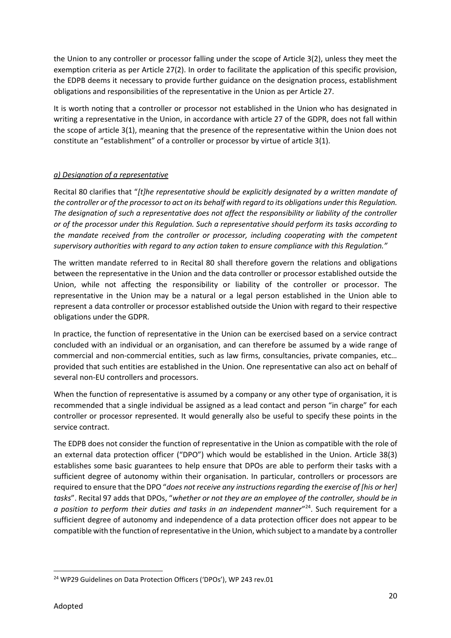the Union to any controller or processor falling under the scope of Article 3(2), unless they meet the exemption criteria as per Article 27(2). In order to facilitate the application of this specific provision, the EDPB deems it necessary to provide further guidance on the designation process, establishment obligations and responsibilities of the representative in the Union as per Article 27.

It is worth noting that a controller or processor not established in the Union who has designated in writing a representative in the Union, in accordance with article 27 of the GDPR, does not fall within the scope of article 3(1), meaning that the presence of the representative within the Union does not constitute an "establishment" of a controller or processor by virtue of article 3(1).

#### *a) Designation of a representative*

Recital 80 clarifies that "*[t]he representative should be explicitly designated by a written mandate of the controller or of the processor to act on its behalf with regard to its obligations under this Regulation. The designation of such a representative does not affect the responsibility or liability of the controller or of the processor under this Regulation. Such a representative should perform its tasks according to the mandate received from the controller or processor, including cooperating with the competent supervisory authorities with regard to any action taken to ensure compliance with this Regulation."*

The written mandate referred to in Recital 80 shall therefore govern the relations and obligations between the representative in the Union and the data controller or processor established outside the Union, while not affecting the responsibility or liability of the controller or processor. The representative in the Union may be a natural or a legal person established in the Union able to represent a data controller or processor established outside the Union with regard to their respective obligations under the GDPR.

In practice, the function of representative in the Union can be exercised based on a service contract concluded with an individual or an organisation, and can therefore be assumed by a wide range of commercial and non-commercial entities, such as law firms, consultancies, private companies, etc… provided that such entities are established in the Union. One representative can also act on behalf of several non-EU controllers and processors.

When the function of representative is assumed by a company or any other type of organisation, it is recommended that a single individual be assigned as a lead contact and person "in charge" for each controller or processor represented. It would generally also be useful to specify these points in the service contract.

The EDPB does not consider the function of representative in the Union as compatible with the role of an external data protection officer ("DPO") which would be established in the Union. Article 38(3) establishes some basic guarantees to help ensure that DPOs are able to perform their tasks with a sufficient degree of autonomy within their organisation. In particular, controllers or processors are required to ensure that the DPO "*does not receive any instructions regarding the exercise of [his or her] tasks*". Recital 97 adds that DPOs, "*whether or not they are an employee of the controller, should be in* a position to perform their duties and tasks in an independent manner<sup>n24</sup>. Such requirement for a sufficient degree of autonomy and independence of a data protection officer does not appear to be compatible with the function of representative in the Union, which subject to a mandate by a controller

<sup>&</sup>lt;sup>24</sup> WP29 Guidelines on Data Protection Officers ('DPOs'), WP 243 rev.01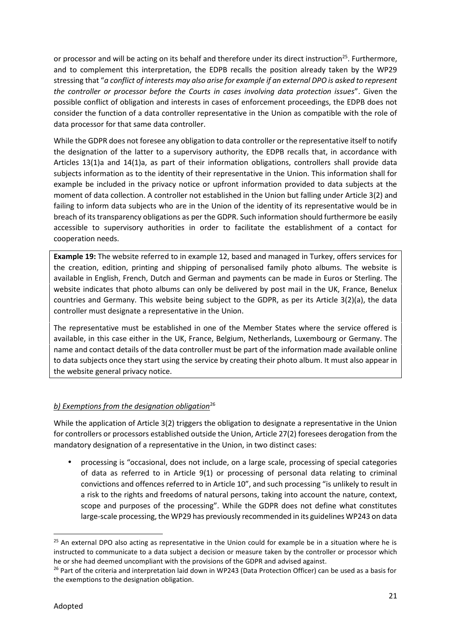or processor and will be acting on its behalf and therefore under its direct instruction<sup>25</sup>. Furthermore, and to complement this interpretation, the EDPB recalls the position already taken by the WP29 stressing that "*a conflict of interests may also arise for example if an external DPO is asked to represent the controller or processor before the Courts in cases involving data protection issues*". Given the possible conflict of obligation and interests in cases of enforcement proceedings, the EDPB does not consider the function of a data controller representative in the Union as compatible with the role of data processor for that same data controller.

While the GDPR does not foresee any obligation to data controller or the representative itself to notify the designation of the latter to a supervisory authority, the EDPB recalls that, in accordance with Articles 13(1)a and 14(1)a, as part of their information obligations, controllers shall provide data subjects information as to the identity of their representative in the Union. This information shall for example be included in the privacy notice or upfront information provided to data subjects at the moment of data collection. A controller not established in the Union but falling under Article 3(2) and failing to inform data subjects who are in the Union of the identity of its representative would be in breach of its transparency obligations as per the GDPR. Such information should furthermore be easily accessible to supervisory authorities in order to facilitate the establishment of a contact for cooperation needs.

**Example 19:** The website referred to in example 12, based and managed in Turkey, offers services for the creation, edition, printing and shipping of personalised family photo albums. The website is available in English, French, Dutch and German and payments can be made in Euros or Sterling. The website indicates that photo albums can only be delivered by post mail in the UK, France, Benelux countries and Germany. This website being subject to the GDPR, as per its Article 3(2)(a), the data controller must designate a representative in the Union.

The representative must be established in one of the Member States where the service offered is available, in this case either in the UK, France, Belgium, Netherlands, Luxembourg or Germany. The name and contact details of the data controller must be part of the information made available online to data subjects once they start using the service by creating their photo album. It must also appear in the website general privacy notice.

#### **b) Exemptions from the designation obligation**<sup>26</sup>

While the application of Article 3(2) triggers the obligation to designate a representative in the Union for controllers or processors established outside the Union, Article 27(2) foresees derogation from the mandatory designation of a representative in the Union, in two distinct cases:

 processing is "occasional, does not include, on a large scale, processing of special categories of data as referred to in Article 9(1) or processing of personal data relating to criminal convictions and offences referred to in Article 10", and such processing "is unlikely to result in a risk to the rights and freedoms of natural persons, taking into account the nature, context, scope and purposes of the processing". While the GDPR does not define what constitutes large-scale processing, the WP29 has previously recommended in its guidelines WP243 on data

 $25$  An external DPO also acting as representative in the Union could for example be in a situation where he is instructed to communicate to a data subject a decision or measure taken by the controller or processor which he or she had deemed uncompliant with the provisions of the GDPR and advised against.

<sup>&</sup>lt;sup>26</sup> Part of the criteria and interpretation laid down in WP243 (Data Protection Officer) can be used as a basis for the exemptions to the designation obligation.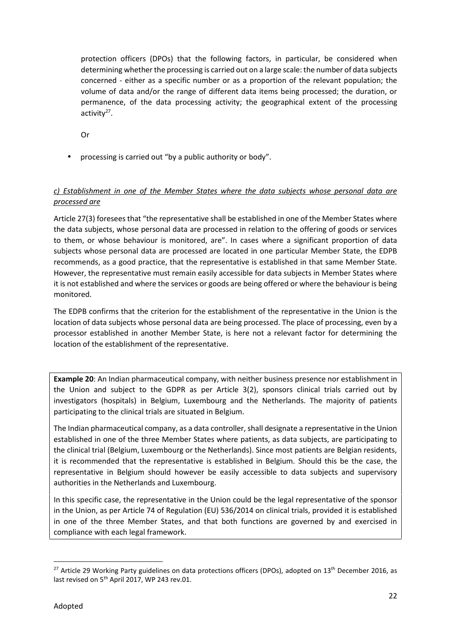protection officers (DPOs) that the following factors, in particular, be considered when determining whether the processing is carried out on a large scale: the number of data subjects concerned - either as a specific number or as a proportion of the relevant population; the volume of data and/or the range of different data items being processed; the duration, or permanence, of the data processing activity; the geographical extent of the processing activity<sup>27</sup>.

Or

processing is carried out "by a public authority or body".

#### *c) Establishment in one of the Member States where the data subjects whose personal data are processed are*

Article 27(3) foresees that "the representative shall be established in one of the Member States where the data subjects, whose personal data are processed in relation to the offering of goods or services to them, or whose behaviour is monitored, are". In cases where a significant proportion of data subjects whose personal data are processed are located in one particular Member State, the EDPB recommends, as a good practice, that the representative is established in that same Member State. However, the representative must remain easily accessible for data subjects in Member States where it is not established and where the services or goods are being offered or where the behaviour is being monitored.

The EDPB confirms that the criterion for the establishment of the representative in the Union is the location of data subjects whose personal data are being processed. The place of processing, even by a processor established in another Member State, is here not a relevant factor for determining the location of the establishment of the representative.

**Example 20**: An Indian pharmaceutical company, with neither business presence nor establishment in the Union and subject to the GDPR as per Article 3(2), sponsors clinical trials carried out by investigators (hospitals) in Belgium, Luxembourg and the Netherlands. The majority of patients participating to the clinical trials are situated in Belgium.

The Indian pharmaceutical company, as a data controller, shall designate a representative in the Union established in one of the three Member States where patients, as data subjects, are participating to the clinical trial (Belgium, Luxembourg or the Netherlands). Since most patients are Belgian residents, it is recommended that the representative is established in Belgium. Should this be the case, the representative in Belgium should however be easily accessible to data subjects and supervisory authorities in the Netherlands and Luxembourg.

In this specific case, the representative in the Union could be the legal representative of the sponsor in the Union, as per Article 74 of Regulation (EU) 536/2014 on clinical trials, provided it is established in one of the three Member States, and that both functions are governed by and exercised in compliance with each legal framework.

<sup>&</sup>lt;sup>27</sup> Article 29 Working Party guidelines on data protections officers (DPOs), adopted on 13<sup>th</sup> December 2016, as last revised on 5<sup>th</sup> April 2017, WP 243 rev.01.